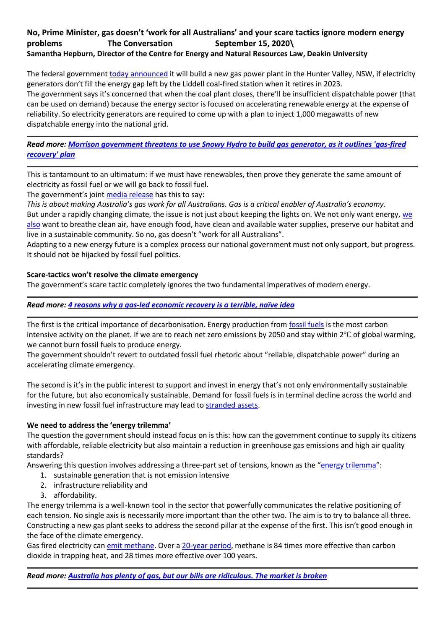# **No, Prime Minister, gas doesn't 'work for all Australians' and your scare tactics ignore modern energy problems The Conversation September 15, 2020\ Samantha Hepburn, Director of the Centre for Energy and Natural Resources Law, Deakin University**

The federal government [today announced](https://theconversation.com/morrison-government-threatens-to-use-snowy-hydro-to-build-gas-generator-as-it-outlines-gas-fired-recovery-plan-146154) it will build a new gas power plant in the Hunter Valley, NSW, if electricity generators don't fill the energy gap left by the Liddell coal-fired station when it retires in 2023. The government says it's concerned that when the coal plant closes, there'll be insufficient dispatchable power (that can be used on demand) because the energy sector is focused on accelerating renewable energy at the expense of reliability. So electricity generators are required to come up with a plan to inject 1,000 megawatts of new dispatchable energy into the national grid.

*Read more: Morrison [government threatens to use Snowy Hydro to build gas generator, as it outlines 'gas-fired](https://theconversation.com/morrison-government-threatens-to-use-snowy-hydro-to-build-gas-generator-as-it-outlines-gas-fired-recovery-plan-146154)  [recovery' plan](https://theconversation.com/morrison-government-threatens-to-use-snowy-hydro-to-build-gas-generator-as-it-outlines-gas-fired-recovery-plan-146154)*

This is tantamount to an ultimatum: if we must have renewables, then prove they generate the same amount of electricity as fossil fuel or we will go back to fossil fuel.

The government's joint [media release](https://www.minister.industry.gov.au/ministers/taylor/media-releases/gas-fired-recovery) has this to say:

*This is about making Australia's gas work for all Australians. Gas is a critical enabler of Australia's economy.*

But under a rapidly changing climate, the issue is not just about keeping the lights on. We not only want energy, we [also](https://www.science.org.au/learning/general-audience/science-climate-change/7-what-are-impacts-of-climate-change) want to breathe clean air, have enough food, have clean and available water supplies, preserve our habitat and live in a sustainable community. So no, gas doesn't "work for all Australians".

Adapting to a new energy future is a complex process our national government must not only support, but progress. It should not be hijacked by fossil fuel politics.

# **Scare-tactics won't resolve the climate emergency**

The government's scare tactic completely ignores the two fundamental imperatives of modern energy.

*Read more: [4 reasons why a gas-led economic recovery is a terrible, naïve idea](https://theconversation.com/4-reasons-why-a-gas-led-economic-recovery-is-a-terrible-na-ve-idea-145009)*

The first is the critical importance of decarbonisation. Energy production from [fossil fuels](https://www.theguardian.com/environment/2019/oct/09/revealed-20-firms-third-carbon-emissions) is the most carbon intensive activity on the planet. If we are to reach net zero emissions by 2050 and stay within 2℃ of global warming, we cannot burn fossil fuels to produce energy.

The government shouldn't revert to outdated fossil fuel rhetoric about "reliable, dispatchable power" during an accelerating climate emergency.

The second is it's in the public interest to support and invest in energy that's not only environmentally sustainable for the future, but also economically sustainable. Demand for fossil fuels is in terminal decline across the world and investing in new fossil fuel infrastructure may lead to [stranded assets.](https://theconversation.com/4-reasons-why-a-gas-led-economic-recovery-is-a-terrible-na-ve-idea-145009)

# **We need to address the 'energy trilemma'**

The question the government should instead focus on is this: how can the government continue to supply its citizens with affordable, reliable electricity but also maintain a reduction in greenhouse gas emissions and high air quality standards?

Answering this question involves addressing a three-part set of tensions, known as the "[energy trilemma](https://pursuit.unimelb.edu.au/articles/australia-s-energy-trilemma-explained)":

- 1. sustainable generation that is not emission intensive
- 2. infrastructure reliability and
- 3. affordability.

The energy trilemma is a well-known tool in the sector that powerfully communicates the relative positioning of each tension. No single axis is necessarily more important than the other two. The aim is to try to balance all three. Constructing a new gas plant seeks to address the second pillar at the expense of the first. This isn't good enough in the face of the climate emergency.

Gas fired electricity can [emit methane.](https://www.theguardian.com/environment/2020/aug/26/methane-released-in-gas-production-means-australias-emissions-may-be-10-higher-than-reported) Over a [20-year period,](https://www.ipcc.ch/site/assets/uploads/2018/05/SYR_AR5_FINAL_full_wcover.pdf) methane is 84 times more effective than carbon dioxide in trapping heat, and 28 times more effective over 100 years.

*Read more: [Australia has plenty of gas, but our bills are ridiculous. The market is broken](https://theconversation.com/australia-has-plenty-of-gas-but-our-bills-are-ridiculous-the-market-is-broken-125130)*